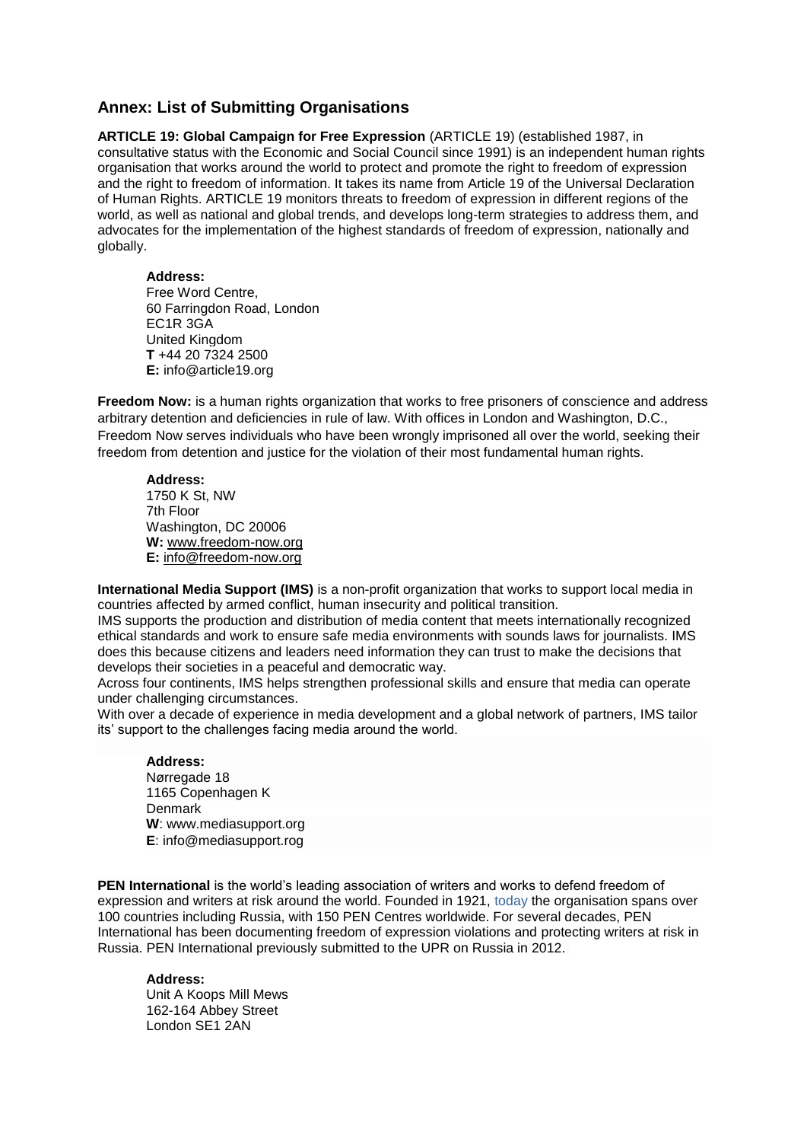# **Annex: List of Submitting Organisations**

**ARTICLE 19: Global Campaign for Free Expression** (ARTICLE 19) (established 1987, in consultative status with the Economic and Social Council since 1991) is an independent human rights organisation that works around the world to protect and promote the right to freedom of expression and the right to freedom of information. It takes its name from Article 19 of the Universal Declaration of Human Rights. ARTICLE 19 monitors threats to freedom of expression in different regions of the world, as well as national and global trends, and develops long-term strategies to address them, and advocates for the implementation of the highest standards of freedom of expression, nationally and globally.

# **Address:**

Free Word Centre, 60 Farringdon Road, London EC1R 3GA United Kingdom **T** +44 20 7324 2500 **E:** info@article19.org

**Freedom Now:** is a human rights organization that works to free prisoners of conscience and address arbitrary detention and deficiencies in rule of law. With offices in London and Washington, D.C., Freedom Now serves individuals who have been wrongly imprisoned all over the world, seeking their freedom from detention and justice for the violation of their most fundamental human rights.

### **Address:**

1750 K St, NW 7th Floor Washington, DC 20006 **W:** [www.freedom-now.org](http://www.freedom-now.org/) **E:** [info@freedom-now.org](mailto:info@freedom-now.org)

**International Media Support (IMS)** is a non-profit organization that works to support local media in countries affected by armed conflict, human insecurity and political transition.

IMS supports the production and distribution of media content that meets internationally recognized ethical standards and work to ensure safe media environments with sounds laws for journalists. IMS does this because citizens and leaders need information they can trust to make the decisions that develops their societies in a peaceful and democratic way.

Across four continents, IMS helps strengthen professional skills and ensure that media can operate under challenging circumstances.

With over a decade of experience in media development and a global network of partners, IMS tailor its' support to the challenges facing media around the world.

#### **Address:**  Nørregade 18

1165 Copenhagen K **Denmark W**: [www.mediasupport.org](http://www.mediasupport.org/) **E**: [info@mediasupport.rog](mailto:info@mediasupport.rog)

**PEN International** is the world's leading association of writers and works to defend freedom of expression and writers at risk around the world. Founded in 1921, today the organisation spans over 100 countries including Russia, with 150 PEN Centres worldwide. For several decades, PEN International has been documenting freedom of expression violations and protecting writers at risk in Russia. PEN International previously submitted to the UPR on Russia in 2012.

# **Address:**

Unit A Koops Mill Mews 162-164 Abbey Street London SE1 2AN